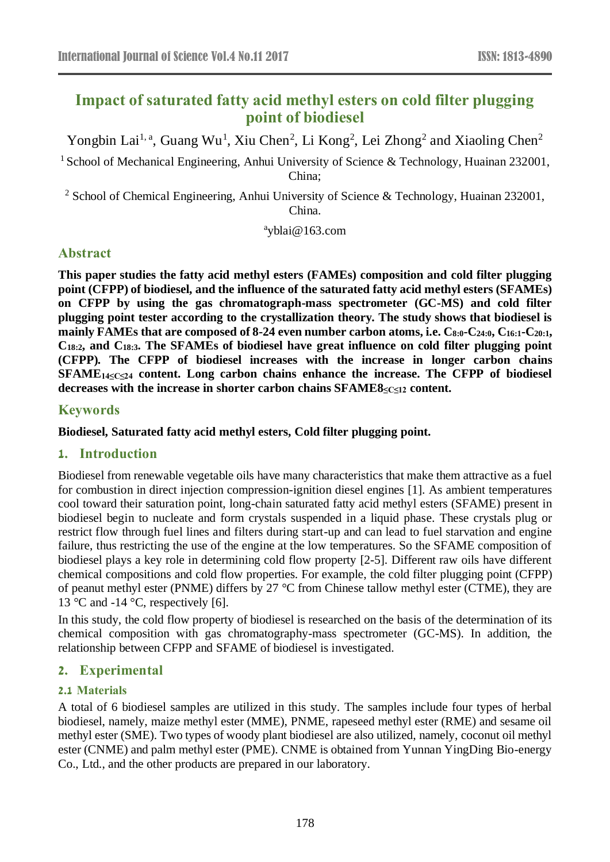# **Impact of saturated fatty acid methyl esters on cold filter plugging point of biodiesel**

Yongbin Lai<sup>1, a</sup>, Guang Wu<sup>1</sup>, Xiu Chen<sup>2</sup>, Li Kong<sup>2</sup>, Lei Zhong<sup>2</sup> and Xiaoling Chen<sup>2</sup>

<sup>1</sup> School of Mechanical Engineering, Anhui University of Science & Technology, Huainan 232001, China;

<sup>2</sup> School of Chemical Engineering, Anhui University of Science & Technology, Huainan 232001, China.

a yblai@163.com

## **Abstract**

**This paper studies the fatty acid methyl esters (FAMEs) composition and cold filter plugging point (CFPP) of biodiesel, and the influence of the saturated fatty acid methyl esters (SFAMEs) on CFPP by using the gas chromatograph-mass spectrometer (GC-MS) and cold filter plugging point tester according to the crystallization theory. The study shows that biodiesel is mainly FAMEs that are composed of 8-24 even number carbon atoms, i.e. C8:0-C24:0, C16:1-C20:1, C18:2, and C18:3. The SFAMEs of biodiesel have great influence on cold filter plugging point (CFPP). The CFPP of biodiesel increases with the increase in longer carbon chains SFAME14≤C≤24 content. Long carbon chains enhance the increase. The CFPP of biodiesel decreases with the increase in shorter carbon chains SFAME8≤C≤12 content.**

### **Keywords**

**Biodiesel, Saturated fatty acid methyl esters, Cold filter plugging point.**

### **1. Introduction**

Biodiesel from renewable vegetable oils have many characteristics that make them attractive as a fuel for combustion in direct injection compression-ignition diesel engines [1]. As ambient temperatures cool toward their saturation point, long-chain saturated fatty acid methyl esters (SFAME) present in biodiesel begin to nucleate and form crystals suspended in a liquid phase. These crystals plug or restrict flow through fuel lines and filters during start-up and can lead to fuel starvation and engine failure, thus restricting the use of the engine at the low temperatures. So the SFAME composition of biodiesel plays a key role in determining cold flow property [2-5]. Different raw oils have different chemical compositions and cold flow properties. For example, the cold filter plugging point (CFPP) of peanut methyl ester (PNME) differs by 27 °C from Chinese tallow methyl ester (CTME), they are 13 °C and -14 °C, respectively [6].

In this study, the cold flow property of biodiesel is researched on the basis of the determination of its chemical composition with gas chromatography-mass spectrometer (GC-MS). In addition, the relationship between CFPP and SFAME of biodiesel is investigated.

## **2. Experimental**

## **2.1 Materials**

A total of 6 biodiesel samples are utilized in this study. The samples include four types of herbal biodiesel, namely, maize methyl ester (MME), PNME, rapeseed methyl ester (RME) and sesame oil methyl ester (SME). Two types of woody plant biodiesel are also utilized, namely, coconut oil methyl ester (CNME) and palm methyl ester (PME). CNME is obtained from Yunnan YingDing Bio-energy Co., Ltd., and the other products are prepared in our laboratory.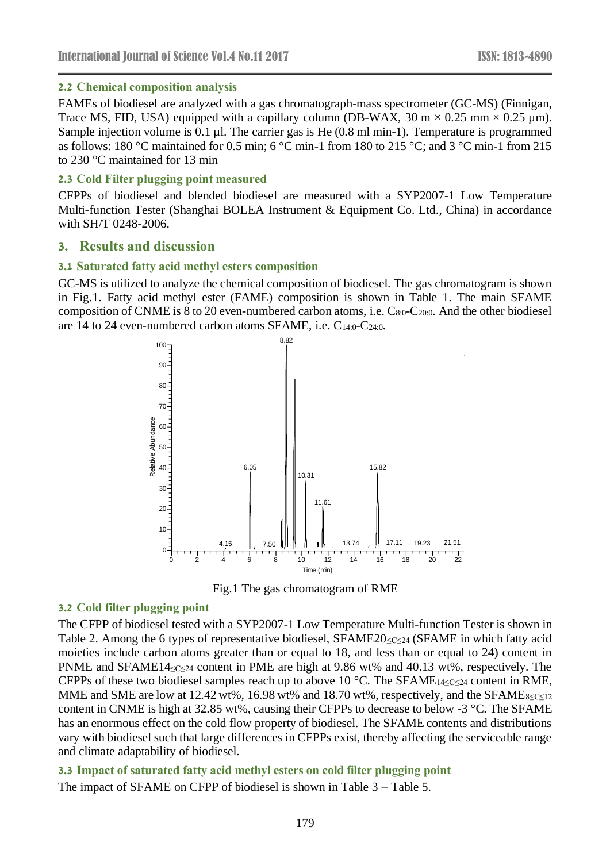#### **2.2 Chemical composition analysis**

FAMEs of biodiesel are analyzed with a gas chromatograph-mass spectrometer (GC-MS) (Finnigan, Trace MS, FID, USA) equipped with a capillary column (DB-WAX,  $30 \text{ m} \times 0.25 \text{ mm} \times 0.25 \text{ µm}$ ). Sample injection volume is 0.1 µl. The carrier gas is He (0.8 ml min-1). Temperature is programmed as follows: 180 °C maintained for 0.5 min; 6 °C min-1 from 180 to 215 °C; and 3 °C min-1 from 215 to 230 °C maintained for 13 min

#### **2.3 Cold Filter plugging point measured**

CFPPs of biodiesel and blended biodiesel are measured with a SYP2007-1 Low Temperature Multi-function Tester (Shanghai BOLEA Instrument & Equipment Co. Ltd., China) in accordance with SH/T 0248-2006.

### **3. Results and discussion**

#### **3.1 Saturated fatty acid methyl esters composition**

GC-MS is utilized to analyze the chemical composition of biodiesel. The gas chromatogram is shown in Fig.1. Fatty acid methyl ester (FAME) composition is shown in Table 1. The main SFAME composition of CNME is 8 to 20 even-numbered carbon atoms, i.e. C8:0-C20:0. And the other biodiesel are 14 to 24 even-numbered carbon atoms SFAME, i.e.  $C_{14:0}$ - $C_{24:0}$ .



Fig.1 The gas chromatogram of RME

#### **3.2 Cold filter plugging point**

The CFPP of biodiesel tested with a SYP2007-1 Low Temperature Multi-function Tester is shown in Table 2. Among the 6 types of representative biodiesel, SFAME20 $\leq c \leq 24$  (SFAME in which fatty acid moieties include carbon atoms greater than or equal to 18, and less than or equal to 24) content in PNME and SFAME14≤C≤24 content in PME are high at 9.86 wt% and 40.13 wt%, respectively. The CFPPs of these two biodiesel samples reach up to above 10 °C. The SFAME<sub>14≤C≤24</sub> content in RME, MME and SME are low at 12.42 wt%, 16.98 wt% and 18.70 wt%, respectively, and the SFAME $_{8 \leq C \leq 12}$ content in CNME is high at 32.85 wt%, causing their CFPPs to decrease to below -3 °C. The SFAME has an enormous effect on the cold flow property of biodiesel. The SFAME contents and distributions vary with biodiesel such that large differences in CFPPs exist, thereby affecting the serviceable range and climate adaptability of biodiesel.

### **3.3 Impact of saturated fatty acid methyl esters on cold filter plugging point** The impact of SFAME on CFPP of biodiesel is shown in Table 3 – Table 5.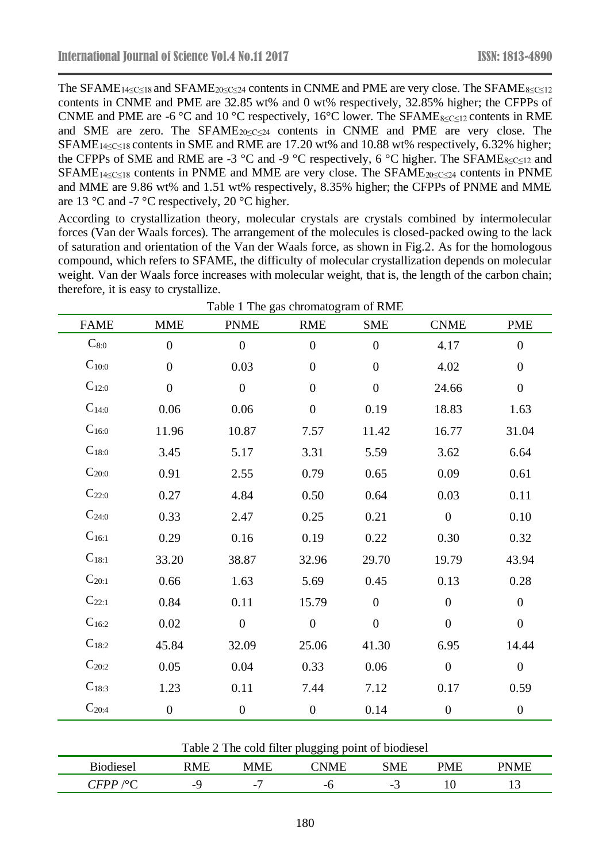The SFAME<sub>14≤C≤18</sub> and SFAME<sub>20≤C≤24</sub> contents in CNME and PME are very close. The SFAME<sub>8≤C≤12</sub> contents in CNME and PME are 32.85 wt% and 0 wt% respectively, 32.85% higher; the CFPPs of CNME and PME are -6 °C and 10 °C respectively, 16 °C lower. The SFAME<sub>8≤C≤12</sub> contents in RME and SME are zero. The SFAME $_{20 \leq C \leq 24}$  contents in CNME and PME are very close. The SFAME<sub>14≤C≤18</sub> contents in SME and RME are 17.20 wt% and 10.88 wt% respectively, 6.32% higher; the CFPPs of SME and RME are -3 °C and -9 °C respectively, 6 °C higher. The SFAME<sub>8≤C≤12</sub> and SFAME<sub>14≤C≤18</sub> contents in PNME and MME are very close. The SFAME<sub>20≤C≤24</sub> contents in PNME and MME are 9.86 wt% and 1.51 wt% respectively, 8.35% higher; the CFPPs of PNME and MME are 13  $\degree$ C and -7  $\degree$ C respectively, 20  $\degree$ C higher.

According to crystallization theory, molecular crystals are crystals combined by intermolecular forces (Van der Waals forces). The arrangement of the molecules is closed-packed owing to the lack of saturation and orientation of the Van der Waals force, as shown in Fig.2. As for the homologous compound, which refers to SFAME, the difficulty of molecular crystallization depends on molecular weight. Van der Waals force increases with molecular weight, that is, the length of the carbon chain; therefore, it is easy to crystallize.

| <b>FAME</b>         | <b>MME</b>       | <b>PNME</b>      | <b>RME</b>       | <b>SME</b>       | <b>CNME</b>      | <b>PME</b>       |
|---------------------|------------------|------------------|------------------|------------------|------------------|------------------|
| $C_{8:0}$           | $\boldsymbol{0}$ | $\boldsymbol{0}$ | $\boldsymbol{0}$ | $\overline{0}$   | 4.17             | $\boldsymbol{0}$ |
| $C_{10:0}$          | $\boldsymbol{0}$ | 0.03             | $\boldsymbol{0}$ | $\boldsymbol{0}$ | 4.02             | $\boldsymbol{0}$ |
| $C_{12:0}$          | $\boldsymbol{0}$ | $\overline{0}$   | $\boldsymbol{0}$ | $\boldsymbol{0}$ | 24.66            | $\boldsymbol{0}$ |
| $C_{14:0}$          | 0.06             | 0.06             | $\boldsymbol{0}$ | 0.19             | 18.83            | 1.63             |
| $C_{16:0}$          | 11.96            | 10.87            | 7.57             | 11.42            | 16.77            | 31.04            |
| $C_{18:0}$          | 3.45             | 5.17             | 3.31             | 5.59             | 3.62             | 6.64             |
| $C_{20:0}$          | 0.91             | 2.55             | 0.79             | 0.65             | 0.09             | 0.61             |
| $C_{22:0}$          | 0.27             | 4.84             | 0.50             | 0.64             | 0.03             | 0.11             |
| $C_{24:0}$          | 0.33             | 2.47             | 0.25             | 0.21             | $\overline{0}$   | 0.10             |
| $C_{16:1}$          | 0.29             | 0.16             | 0.19             | 0.22             | 0.30             | 0.32             |
| $C_{18:1}$          | 33.20            | 38.87            | 32.96            | 29.70            | 19.79            | 43.94            |
| $C_{20:1}$          | 0.66             | 1.63             | 5.69             | 0.45             | 0.13             | 0.28             |
| $C_{22:1}$          | 0.84             | 0.11             | 15.79            | $\boldsymbol{0}$ | $\boldsymbol{0}$ | $\boldsymbol{0}$ |
| $C_{16:2}$          | 0.02             | $\boldsymbol{0}$ | $\boldsymbol{0}$ | $\boldsymbol{0}$ | $\boldsymbol{0}$ | $\boldsymbol{0}$ |
| $C_{18:2}$          | 45.84            | 32.09            | 25.06            | 41.30            | 6.95             | 14.44            |
| $\mathbf{C}_{20:2}$ | 0.05             | 0.04             | 0.33             | 0.06             | $\boldsymbol{0}$ | $\boldsymbol{0}$ |
| $C_{18:3}$          | 1.23             | 0.11             | 7.44             | 7.12             | 0.17             | 0.59             |
| $C_{20:4}$          | $\boldsymbol{0}$ | $\boldsymbol{0}$ | $\boldsymbol{0}$ | 0.14             | $\boldsymbol{0}$ | $\boldsymbol{0}$ |

| $\sim$ $\sim$ $\sim$ | $\sim$ | $\mathbf{r}$ $\mathbf{r}$<br>N | -- -- | $\sqrt{1}$               | $\sim$ | $\sim$<br>the contract of the contract of the contract of the contract of the contract of |
|----------------------|--------|--------------------------------|-------|--------------------------|--------|-------------------------------------------------------------------------------------------|
| .,                   | $-$    | −<br>$\overline{\phantom{0}}$  | - 1   | $\overline{\phantom{0}}$ |        | <b>.</b>                                                                                  |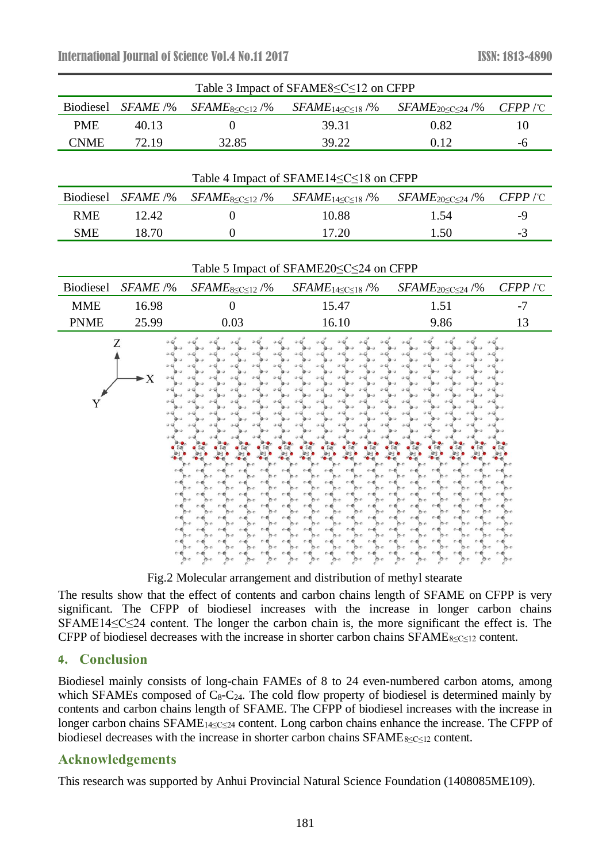| Table 3 Impact of SFAME8 <<<<<<<12 on CFPP       |          |                             |                              |                                |            |  |  |  |
|--------------------------------------------------|----------|-----------------------------|------------------------------|--------------------------------|------------|--|--|--|
| <b>Biodiesel</b>                                 | SFAME /% | $SFAME8 \leq C \leq 12$ /%  | $SFAME_{14 \le C \le 18}$ /% | $SFAME_{20 \leq C \leq 24}$ /% | $CFPP$ /°C |  |  |  |
| <b>PME</b>                                       | 40.13    | $\theta$                    | 39.31                        | 0.82                           | 10         |  |  |  |
| <b>CNME</b>                                      | 72.19    | 32.85                       | 39.22                        | 0.12                           | $-6$       |  |  |  |
|                                                  |          |                             |                              |                                |            |  |  |  |
| Table 4 Impact of SFAME14≤C≤18 on CFPP           |          |                             |                              |                                |            |  |  |  |
| Biodiesel                                        | SFAME /% | $SFAME_{8 \le C \le 12}$ /% | $SFAME_{14 \le C \le 18}$ /% | $SFAME_{20 \leq C \leq 24}$ /% | $CFPP$ /°C |  |  |  |
| <b>RME</b>                                       | 12.42    | $\overline{0}$              | 10.88                        | 1.54                           | $-9$       |  |  |  |
| <b>SME</b>                                       | 18.70    | $\overline{0}$              | 17.20                        | 1.50                           | $-3$       |  |  |  |
|                                                  |          |                             |                              |                                |            |  |  |  |
| Table 5 Impact of SFAME20 <<<<<<<<<<>>24 on CFPP |          |                             |                              |                                |            |  |  |  |
| <b>Biodiesel</b>                                 | SFAME /% | $SFAME_{8 \le C \le 12}$ /% | $SFAME_{14 \le C \le 18}$ /% | $SFAME_{20 \leq C \leq 24}$ /% | $CFPP$ /°C |  |  |  |
| <b>MME</b>                                       | 16.98    | $\boldsymbol{0}$            | 15.47                        | 1.51                           | $-7$       |  |  |  |
| <b>PNME</b>                                      | 25.99    | 0.03                        | 16.10                        | 9.86                           | 13         |  |  |  |
| Ζ<br>$\blacktriangleright$ X<br>Y                |          |                             |                              |                                |            |  |  |  |

Fig.2 Molecular arrangement and distribution of methyl stearate

The results show that the effect of contents and carbon chains length of SFAME on CFPP is very significant. The CFPP of biodiesel increases with the increase in longer carbon chains SFAME14≤C≤24 content. The longer the carbon chain is, the more significant the effect is. The CFPP of biodiesel decreases with the increase in shorter carbon chains SFAME8≤C≤12 content.

### **4. Conclusion**

Biodiesel mainly consists of long-chain FAMEs of 8 to 24 even-numbered carbon atoms, among which SFAMEs composed of  $C_8-C_{24}$ . The cold flow property of biodiesel is determined mainly by contents and carbon chains length of SFAME. The CFPP of biodiesel increases with the increase in longer carbon chains SFAME14≤C≤24 content. Long carbon chains enhance the increase. The CFPP of biodiesel decreases with the increase in shorter carbon chains SFAME8≤C≤12 content.

## **Acknowledgements**

This research was supported by Anhui Provincial Natural Science Foundation (1408085ME109).